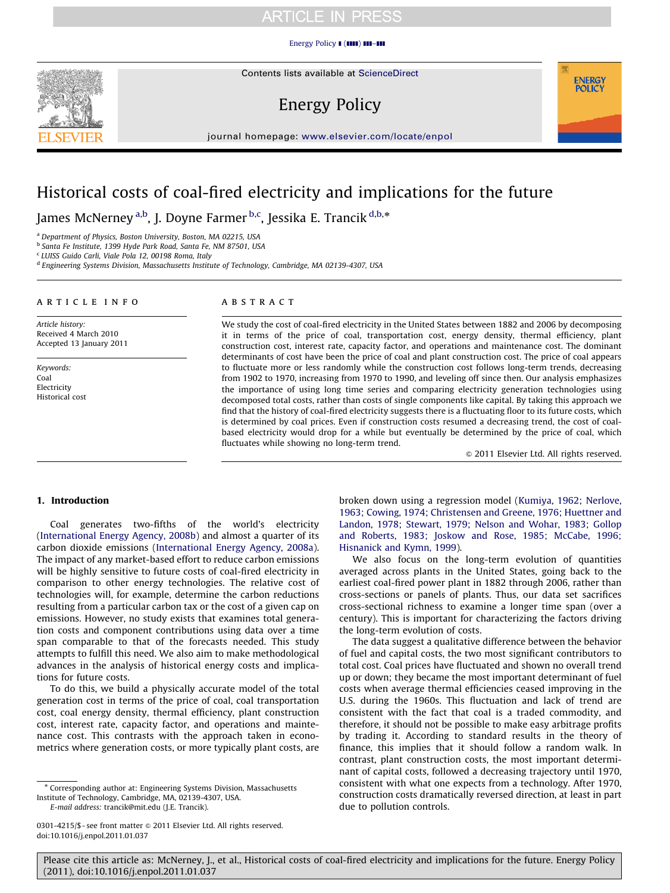#### [Energy Policy](dx.doi.org/10.1016/j.enpol.2011.01.037)  $\blacksquare$  ( $\blacksquare$ )  $\blacksquare$ – $\blacksquare$

Contents lists available at ScienceDirect

# Energy Policy

journal homepage: <www.elsevier.com/locate/enpol>

# Historical costs of coal-fired electricity and implications for the future

James McNerney <sup>a,b</sup>, J. Doyne Farmer <sup>b,c</sup>, Jessika E. Trancik <sup>d,b,</sup>\*

<sup>a</sup> Department of Physics, Boston University, Boston, MA 02215, USA

<sup>b</sup> Santa Fe Institute, 1399 Hyde Park Road, Santa Fe, NM 87501, USA

<sup>c</sup> LUISS Guido Carli, Viale Pola 12, 00198 Roma, Italy

<sup>d</sup> Engineering Systems Division, Massachusetts Institute of Technology, Cambridge, MA 02139-4307, USA

#### article info

Article history: Received 4 March 2010 Accepted 13 January 2011

Keywords: Coal Electricity Historical cost

#### **ABSTRACT**

We study the cost of coal-fired electricity in the United States between 1882 and 2006 by decomposing it in terms of the price of coal, transportation cost, energy density, thermal efficiency, plant construction cost, interest rate, capacity factor, and operations and maintenance cost. The dominant determinants of cost have been the price of coal and plant construction cost. The price of coal appears to fluctuate more or less randomly while the construction cost follows long-term trends, decreasing from 1902 to 1970, increasing from 1970 to 1990, and leveling off since then. Our analysis emphasizes the importance of using long time series and comparing electricity generation technologies using decomposed total costs, rather than costs of single components like capital. By taking this approach we find that the history of coal-fired electricity suggests there is a fluctuating floor to its future costs, which is determined by coal prices. Even if construction costs resumed a decreasing trend, the cost of coalbased electricity would drop for a while but eventually be determined by the price of coal, which fluctuates while showing no long-term trend.

 $©$  2011 Elsevier Ltd. All rights reserved.

**ENERGY POLICY** 

#### 1. Introduction

Coal generates two-fifths of the world's electricity ([International Energy Agency, 2008b](#page-12-0)) and almost a quarter of its carbon dioxide emissions ([International Energy Agency, 2008a\)](#page-12-0). The impact of any market-based effort to reduce carbon emissions will be highly sensitive to future costs of coal-fired electricity in comparison to other energy technologies. The relative cost of technologies will, for example, determine the carbon reductions resulting from a particular carbon tax or the cost of a given cap on emissions. However, no study exists that examines total generation costs and component contributions using data over a time span comparable to that of the forecasts needed. This study attempts to fulfill this need. We also aim to make methodological advances in the analysis of historical energy costs and implications for future costs.

To do this, we build a physically accurate model of the total generation cost in terms of the price of coal, coal transportation cost, coal energy density, thermal efficiency, plant construction cost, interest rate, capacity factor, and operations and maintenance cost. This contrasts with the approach taken in econometrics where generation costs, or more typically plant costs, are

E-mail address: [trancik@mit.edu \(J.E. Trancik\).](mailto:trancik@mit.edu)

0301-4215/\$ - see front matter @ 2011 Elsevier Ltd. All rights reserved. doi:[10.1016/j.enpol.2011.01.037](dx.doi.org/10.1016/j.enpol.2011.01.037)

broken down using a regression model [\(Kumiya, 1962; Nerlove,](#page-12-0) [1963; Cowing, 1974; Christensen and Greene, 1976; Huettner and](#page-12-0) [Landon, 1978; Stewart, 1979; Nelson and Wohar, 1983; Gollop](#page-12-0) [and Roberts, 1983; Joskow and Rose, 1985; McCabe, 1996;](#page-12-0) [Hisnanick and Kymn, 1999\)](#page-12-0).

We also focus on the long-term evolution of quantities averaged across plants in the United States, going back to the earliest coal-fired power plant in 1882 through 2006, rather than cross-sections or panels of plants. Thus, our data set sacrifices cross-sectional richness to examine a longer time span (over a century). This is important for characterizing the factors driving the long-term evolution of costs.

The data suggest a qualitative difference between the behavior of fuel and capital costs, the two most significant contributors to total cost. Coal prices have fluctuated and shown no overall trend up or down; they became the most important determinant of fuel costs when average thermal efficiencies ceased improving in the U.S. during the 1960s. This fluctuation and lack of trend are consistent with the fact that coal is a traded commodity, and therefore, it should not be possible to make easy arbitrage profits by trading it. According to standard results in the theory of finance, this implies that it should follow a random walk. In contrast, plant construction costs, the most important determinant of capital costs, followed a decreasing trajectory until 1970, consistent with what one expects from a technology. After 1970, construction costs dramatically reversed direction, at least in part due to pollution controls.



<sup>\*</sup> Corresponding author at: Engineering Systems Division, Massachusetts Institute of Technology, Cambridge, MA, 02139-4307, USA.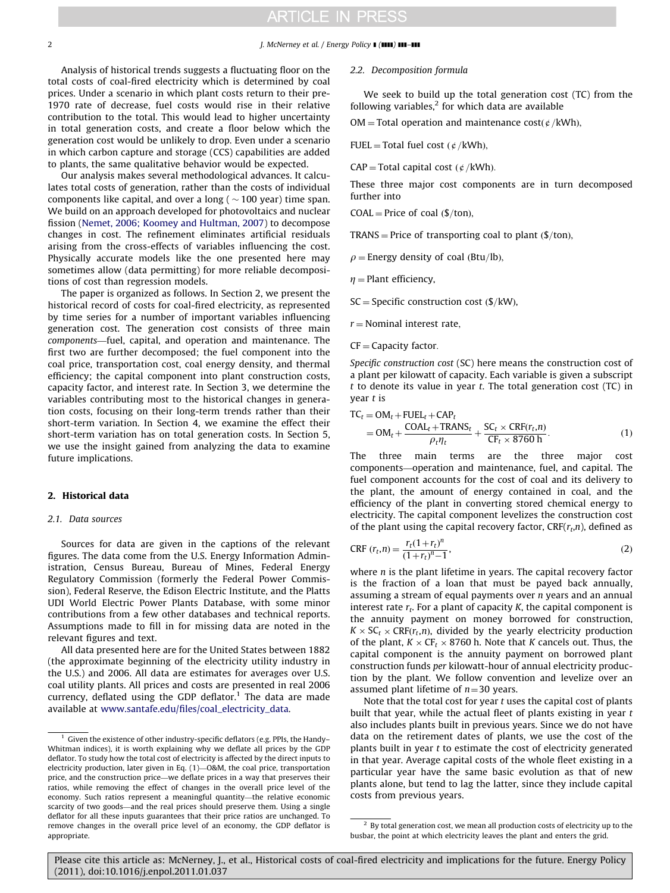#### 2 J. McNerney et al. / Energy Policy **I** (IIII) **III**–III

Analysis of historical trends suggests a fluctuating floor on the total costs of coal-fired electricity which is determined by coal prices. Under a scenario in which plant costs return to their pre-1970 rate of decrease, fuel costs would rise in their relative contribution to the total. This would lead to higher uncertainty in total generation costs, and create a floor below which the generation cost would be unlikely to drop. Even under a scenario in which carbon capture and storage (CCS) capabilities are added to plants, the same qualitative behavior would be expected.

Our analysis makes several methodological advances. It calculates total costs of generation, rather than the costs of individual components like capital, and over a long (  $\sim$  100 year) time span. We build on an approach developed for photovoltaics and nuclear fission ([Nemet, 2006; Koomey and Hultman, 2007\)](#page-12-0) to decompose changes in cost. The refinement eliminates artificial residuals arising from the cross-effects of variables influencing the cost. Physically accurate models like the one presented here may sometimes allow (data permitting) for more reliable decompositions of cost than regression models.

The paper is organized as follows. In Section 2, we present the historical record of costs for coal-fired electricity, as represented by time series for a number of important variables influencing generation cost. The generation cost consists of three main components—fuel, capital, and operation and maintenance. The first two are further decomposed; the fuel component into the coal price, transportation cost, coal energy density, and thermal efficiency; the capital component into plant construction costs, capacity factor, and interest rate. In Section 3, we determine the variables contributing most to the historical changes in generation costs, focusing on their long-term trends rather than their short-term variation. In Section 4, we examine the effect their short-term variation has on total generation costs. In Section 5, we use the insight gained from analyzing the data to examine future implications.

#### 2. Historical data

#### 2.1. Data sources

Sources for data are given in the captions of the relevant figures. The data come from the U.S. Energy Information Administration, Census Bureau, Bureau of Mines, Federal Energy Regulatory Commission (formerly the Federal Power Commission), Federal Reserve, the Edison Electric Institute, and the Platts UDI World Electric Power Plants Database, with some minor contributions from a few other databases and technical reports. Assumptions made to fill in for missing data are noted in the relevant figures and text.

All data presented here are for the United States between 1882 (the approximate beginning of the electricity utility industry in the U.S.) and 2006. All data are estimates for averages over U.S. coal utility plants. All prices and costs are presented in real 2006 currency, deflated using the GDP deflator.<sup>1</sup> The data are made available at [www.santafe.edu/files/coal\\_electricity\\_data.](www.santafe.edu/files/coal_electricity_data)

#### 2.2. Decomposition formula

We seek to build up the total generation cost (TC) from the following variables, $2$  for which data are available

OM = Total operation and maintenance cost( $\phi$ /kWh),

$$
FUEL = Total fuel cost (¢/kWh),
$$

 $CAP = Total capital cost (¢/kWh).$ 

These three major cost components are in turn decomposed further into

 $COAL = Price$  of coal  $(\frac{f}{ton})$ ,

TRANS = Price of transporting coal to plant  $(\frac{5}{\tan})$ ,

 $\rho$  = Energy density of coal (Btu/lb),

 $\eta$  = Plant efficiency,

 $SC = Specific construction cost ($/kW),$ 

 $r =$  Nominal interest rate,

#### $CF = Capacity factor$ .

Specific construction cost (SC) here means the construction cost of a plant per kilowatt of capacity. Each variable is given a subscript  $t$  to denote its value in year  $t$ . The total generation cost (TC) in year t is

$$
TC_t = OM_t + FUEL_t + CAP_t
$$
  
= OM\_t + 
$$
\frac{COAL_t + TRANS_t}{\rho_t \eta_t} + \frac{SC_t \times CRF(r_t, n)}{CF_t \times 8760 \text{ h}}.
$$
 (1)

The three main terms are the three major cost components—operation and maintenance, fuel, and capital. The fuel component accounts for the cost of coal and its delivery to the plant, the amount of energy contained in coal, and the efficiency of the plant in converting stored chemical energy to electricity. The capital component levelizes the construction cost of the plant using the capital recovery factor,  $CRF(r_t,n)$ , defined as

CRF 
$$
(r_t, n) = \frac{r_t(1+r_t)^n}{(1+r_t)^n - 1}
$$
, (2)

where *n* is the plant lifetime in years. The capital recovery factor is the fraction of a loan that must be payed back annually, assuming a stream of equal payments over  $n$  years and an annual interest rate  $r_t$ . For a plant of capacity K, the capital component is the annuity payment on money borrowed for construction,  $K \times SC_t \times CRF(r_t,n)$ , divided by the yearly electricity production of the plant,  $K \times CF_t \times 8760$  h. Note that K cancels out. Thus, the capital component is the annuity payment on borrowed plant construction funds per kilowatt-hour of annual electricity production by the plant. We follow convention and levelize over an assumed plant lifetime of  $n=30$  years.

Note that the total cost for year  $t$  uses the capital cost of plants built that year, while the actual fleet of plants existing in year  $t$ also includes plants built in previous years. Since we do not have data on the retirement dates of plants, we use the cost of the plants built in year  $t$  to estimate the cost of electricity generated in that year. Average capital costs of the whole fleet existing in a particular year have the same basic evolution as that of new plants alone, but tend to lag the latter, since they include capital costs from previous years.

 $1$  Given the existence of other industry-specific deflators (e.g. PPIs, the Handy-Whitman indices), it is worth explaining why we deflate all prices by the GDP deflator. To study how the total cost of electricity is affected by the direct inputs to electricity production, later given in Eq. (1)—O&M, the coal price, transportation price, and the construction price—we deflate prices in a way that preserves their ratios, while removing the effect of changes in the overall price level of the economy. Such ratios represent a meaningful quantity—the relative economic scarcity of two goods—and the real prices should preserve them. Using a single deflator for all these inputs guarantees that their price ratios are unchanged. To remove changes in the overall price level of an economy, the GDP deflator is appropriate.

 $^{\rm 2}$  By total generation cost, we mean all production costs of electricity up to the busbar, the point at which electricity leaves the plant and enters the grid.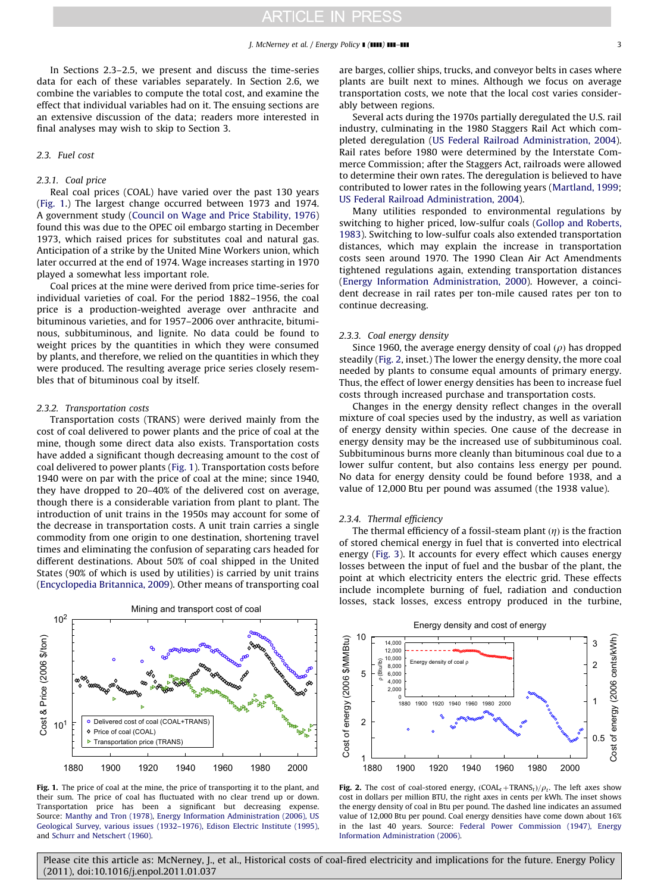In Sections 2.3–2.5, we present and discuss the time-series data for each of these variables separately. In Section 2.6, we combine the variables to compute the total cost, and examine the effect that individual variables had on it. The ensuing sections are an extensive discussion of the data; readers more interested in final analyses may wish to skip to Section 3.

#### 2.3. Fuel cost

#### 2.3.1. Coal price

Real coal prices (COAL) have varied over the past 130 years (Fig. 1.) The largest change occurred between 1973 and 1974. A government study ([Council on Wage and Price Stability, 1976\)](#page-12-0) found this was due to the OPEC oil embargo starting in December 1973, which raised prices for substitutes coal and natural gas. Anticipation of a strike by the United Mine Workers union, which later occurred at the end of 1974. Wage increases starting in 1970 played a somewhat less important role.

Coal prices at the mine were derived from price time-series for individual varieties of coal. For the period 1882–1956, the coal price is a production-weighted average over anthracite and bituminous varieties, and for 1957–2006 over anthracite, bituminous, subbituminous, and lignite. No data could be found to weight prices by the quantities in which they were consumed by plants, and therefore, we relied on the quantities in which they were produced. The resulting average price series closely resembles that of bituminous coal by itself.

#### 2.3.2. Transportation costs

Transportation costs (TRANS) were derived mainly from the cost of coal delivered to power plants and the price of coal at the mine, though some direct data also exists. Transportation costs have added a significant though decreasing amount to the cost of coal delivered to power plants (Fig. 1). Transportation costs before 1940 were on par with the price of coal at the mine; since 1940, they have dropped to 20–40% of the delivered cost on average, though there is a considerable variation from plant to plant. The introduction of unit trains in the 1950s may account for some of the decrease in transportation costs. A unit train carries a single commodity from one origin to one destination, shortening travel times and eliminating the confusion of separating cars headed for different destinations. About 50% of coal shipped in the United States (90% of which is used by utilities) is carried by unit trains ([Encyclopedia Britannica, 2009\)](#page-12-0). Other means of transporting coal



Fig. 1. The price of coal at the mine, the price of transporting it to the plant, and their sum. The price of coal has fluctuated with no clear trend up or down. Transportation price has been a significant but decreasing expense. Source: [Manthy and Tron \(1978\),](#page-12-0) [Energy Information Administration \(2006\), US](#page-12-0) [Geological Survey, various issues \(1932–1976\), Edison Electric Institute \(1995\)](#page-12-0), and [Schurr and Netschert \(1960\)](#page-12-0).

are barges, collier ships, trucks, and conveyor belts in cases where plants are built next to mines. Although we focus on average transportation costs, we note that the local cost varies considerably between regions.

Several acts during the 1970s partially deregulated the U.S. rail industry, culminating in the 1980 Staggers Rail Act which completed deregulation ([US Federal Railroad Administration, 2004\)](#page-12-0). Rail rates before 1980 were determined by the Interstate Commerce Commission; after the Staggers Act, railroads were allowed to determine their own rates. The deregulation is believed to have contributed to lower rates in the following years [\(Martland, 1999;](#page-12-0) [US Federal Railroad Administration, 2004](#page-12-0)).

Many utilities responded to environmental regulations by switching to higher priced, low-sulfur coals ([Gollop and Roberts,](#page-12-0) [1983\)](#page-12-0). Switching to low-sulfur coals also extended transportation distances, which may explain the increase in transportation costs seen around 1970. The 1990 Clean Air Act Amendments tightened regulations again, extending transportation distances ([Energy Information Administration, 2000](#page-12-0)). However, a coincident decrease in rail rates per ton-mile caused rates per ton to continue decreasing.

#### 2.3.3. Coal energy density

Since 1960, the average energy density of coal  $(\rho)$  has dropped steadily (Fig. 2, inset.) The lower the energy density, the more coal needed by plants to consume equal amounts of primary energy. Thus, the effect of lower energy densities has been to increase fuel costs through increased purchase and transportation costs.

Changes in the energy density reflect changes in the overall mixture of coal species used by the industry, as well as variation of energy density within species. One cause of the decrease in energy density may be the increased use of subbituminous coal. Subbituminous burns more cleanly than bituminous coal due to a lower sulfur content, but also contains less energy per pound. No data for energy density could be found before 1938, and a value of 12,000 Btu per pound was assumed (the 1938 value).

#### 2.3.4. Thermal efficiency

The thermal efficiency of a fossil-steam plant  $(\eta)$  is the fraction of stored chemical energy in fuel that is converted into electrical energy [\(Fig. 3](#page-3-0)). It accounts for every effect which causes energy losses between the input of fuel and the busbar of the plant, the point at which electricity enters the electric grid. These effects include incomplete burning of fuel, radiation and conduction losses, stack losses, excess entropy produced in the turbine,



**Fig. 2.** The cost of coal-stored energy,  $(COAL_t + TRANS_t)/\rho_t$ . The left axes show cost in dollars per million BTU, the right axes in cents per kWh. The inset shows the energy density of coal in Btu per pound. The dashed line indicates an assumed value of 12,000 Btu per pound. Coal energy densities have come down about 16% in the last 40 years. Source: [Federal Power Commission \(1947\), Energy](#page-12-0) [Information Administration \(2006\)](#page-12-0).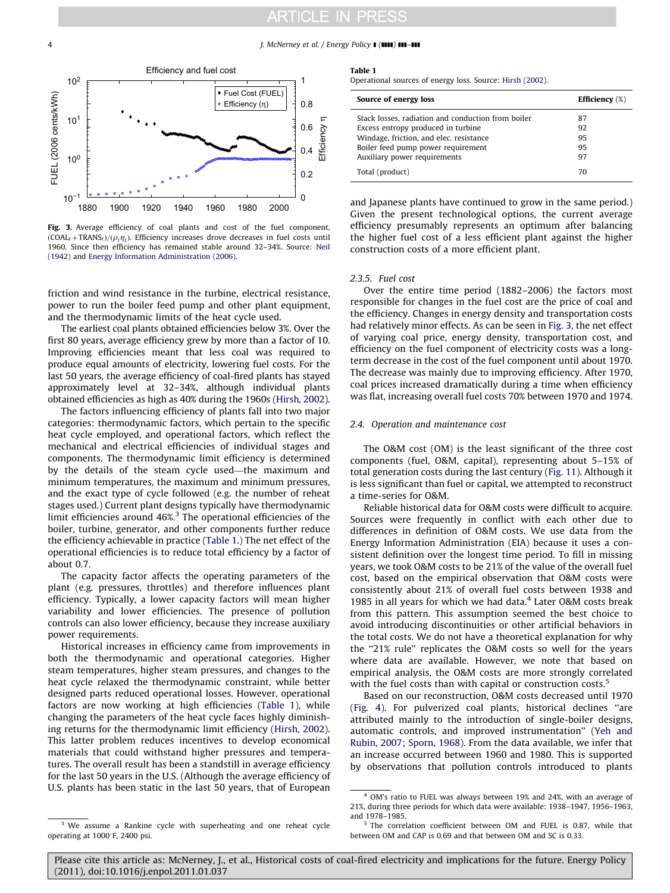#### <span id="page-3-0"></span>4 J. McNerney et al. / Energy Policy 1 (1111) 111-111



Fig. 3. Average efficiency of coal plants and cost of the fuel component,  $(COAL<sub>t</sub>+TRANS<sub>t</sub>)/(\rho_t\eta_t)$ . Efficiency increases drove decreases in fuel costs until 1960. Since then efficiency has remained stable around 32–34%. Source: [Neil](#page-12-0) [\(1942\)](#page-12-0) and [Energy Information Administration \(2006\).](#page-12-0)

friction and wind resistance in the turbine, electrical resistance, power to run the boiler feed pump and other plant equipment, and the thermodynamic limits of the heat cycle used.

The earliest coal plants obtained efficiencies below 3%. Over the first 80 years, average efficiency grew by more than a factor of 10. Improving efficiencies meant that less coal was required to produce equal amounts of electricity, lowering fuel costs. For the last 50 years, the average efficiency of coal-fired plants has stayed approximately level at 32–34%, although individual plants obtained efficiencies as high as 40% during the 1960s ([Hirsh, 2002\)](#page-12-0).

The factors influencing efficiency of plants fall into two major categories: thermodynamic factors, which pertain to the specific heat cycle employed, and operational factors, which reflect the mechanical and electrical efficiencies of individual stages and components. The thermodynamic limit efficiency is determined by the details of the steam cycle used—the maximum and minimum temperatures, the maximum and minimum pressures, and the exact type of cycle followed (e.g. the number of reheat stages used.) Current plant designs typically have thermodynamic limit efficiencies around 46%.3 The operational efficiencies of the boiler, turbine, generator, and other components further reduce the efficiency achievable in practice (Table 1.) The net effect of the operational efficiencies is to reduce total efficiency by a factor of about 0.7.

The capacity factor affects the operating parameters of the plant (e.g. pressures, throttles) and therefore influences plant efficiency. Typically, a lower capacity factors will mean higher variability and lower efficiencies. The presence of pollution controls can also lower efficiency, because they increase auxiliary power requirements.

Historical increases in efficiency came from improvements in both the thermodynamic and operational categories. Higher steam temperatures, higher steam pressures, and changes to the heat cycle relaxed the thermodynamic constraint, while better designed parts reduced operational losses. However, operational factors are now working at high efficiencies (Table 1), while changing the parameters of the heat cycle faces highly diminishing returns for the thermodynamic limit efficiency ([Hirsh, 2002\)](#page-12-0). This latter problem reduces incentives to develop economical materials that could withstand higher pressures and temperatures. The overall result has been a standstill in average efficiency for the last 50 years in the U.S. (Although the average efficiency of U.S. plants has been static in the last 50 years, that of European

#### Table 1

Operational sources of energy loss. Source: [Hirsh \(2002\).](#page-12-0)

| Source of energy loss                              | <b>Efficiency</b> $(\%)$ |
|----------------------------------------------------|--------------------------|
| Stack losses, radiation and conduction from boiler | 87                       |
| Excess entropy produced in turbine                 | 92                       |
| Windage, friction, and elec. resistance            | 95                       |
| Boiler feed pump power requirement                 | 95                       |
| Auxiliary power requirements                       | 97                       |
| Total (product)                                    | 70                       |

and Japanese plants have continued to grow in the same period.) Given the present technological options, the current average efficiency presumably represents an optimum after balancing the higher fuel cost of a less efficient plant against the higher construction costs of a more efficient plant.

#### 2.3.5. Fuel cost

Over the entire time period (1882–2006) the factors most responsible for changes in the fuel cost are the price of coal and the efficiency. Changes in energy density and transportation costs had relatively minor effects. As can be seen in Fig. 3, the net effect of varying coal price, energy density, transportation cost, and efficiency on the fuel component of electricity costs was a longterm decrease in the cost of the fuel component until about 1970. The decrease was mainly due to improving efficiency. After 1970, coal prices increased dramatically during a time when efficiency was flat, increasing overall fuel costs 70% between 1970 and 1974.

#### 2.4. Operation and maintenance cost

The O&M cost (OM) is the least significant of the three cost components (fuel, O&M, capital), representing about 5–15% of total generation costs during the last century ([Fig. 11\)](#page-7-0). Although it is less significant than fuel or capital, we attempted to reconstruct a time-series for O&M.

Reliable historical data for O&M costs were difficult to acquire. Sources were frequently in conflict with each other due to differences in definition of O&M costs. We use data from the Energy Information Administration (EIA) because it uses a consistent definition over the longest time period. To fill in missing years, we took O&M costs to be 21% of the value of the overall fuel cost, based on the empirical observation that O&M costs were consistently about 21% of overall fuel costs between 1938 and 1985 in all years for which we had data. $4$  Later O&M costs break from this pattern. This assumption seemed the best choice to avoid introducing discontinuities or other artificial behaviors in the total costs. We do not have a theoretical explanation for why the "21% rule" replicates the O&M costs so well for the years where data are available. However, we note that based on empirical analysis, the O&M costs are more strongly correlated with the fuel costs than with capital or construction costs.<sup>5</sup>

Based on our reconstruction, O&M costs decreased until 1970 ([Fig. 4\)](#page-4-0). For pulverized coal plants, historical declines ''are attributed mainly to the introduction of single-boiler designs, automatic controls, and improved instrumentation'' ([Yeh and](#page-12-0) [Rubin, 2007; Sporn, 1968](#page-12-0)). From the data available, we infer that an increase occurred between 1960 and 1980. This is supported by observations that pollution controls introduced to plants

 $4$  OM's ratio to FUEL was always between 19% and 24%, with an average of 21%, during three periods for which data were available: 1938–1947, 1956–1963, and 1978–1985.

We assume a Rankine cycle with superheating and one reheat cycle operating at 1000°F, 2400 psi.

<sup>5</sup> The correlation coefficient between OM and FUEL is 0.87, while that between OM and CAP is 0.69 and that between OM and SC is 0.33.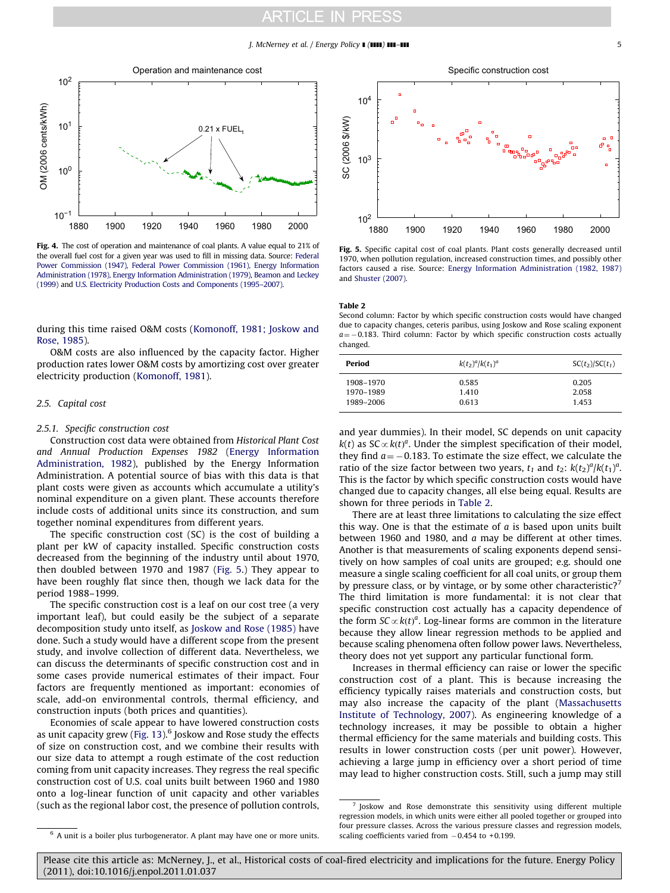#### $J.$  McNerney et al. / Energy Policy  $\blacksquare$   $\blacksquare$ ]  $\blacksquare$

<span id="page-4-0"></span>

Fig. 4. The cost of operation and maintenance of coal plants. A value equal to 21% of the overall fuel cost for a given year was used to fill in missing data. Source: [Federal](#page-12-0) [Power Commission \(1947\), Federal Power Commission \(1961\), Energy Information](#page-12-0) [Administration \(1978\), Energy Information Administration \(1979\),](#page-12-0) [Beamon and Leckey](#page-12-0) [\(1999\)](#page-12-0) and [U.S. Electricity Production Costs and Components \(1995–2007\)](#page-12-0).

during this time raised O&M costs ([Komonoff, 1981; Joskow and](#page-12-0) [Rose, 1985](#page-12-0)).

O&M costs are also influenced by the capacity factor. Higher production rates lower O&M costs by amortizing cost over greater electricity production ([Komonoff, 1981](#page-12-0)).

#### 2.5. Capital cost

#### 2.5.1. Specific construction cost

Construction cost data were obtained from Historical Plant Cost and Annual Production Expenses 1982 [\(Energy Information](#page-12-0) [Administration, 1982\)](#page-12-0), published by the Energy Information Administration. A potential source of bias with this data is that plant costs were given as accounts which accumulate a utility's nominal expenditure on a given plant. These accounts therefore include costs of additional units since its construction, and sum together nominal expenditures from different years.

The specific construction cost (SC) is the cost of building a plant per kW of capacity installed. Specific construction costs decreased from the beginning of the industry until about 1970, then doubled between 1970 and 1987 (Fig. 5.) They appear to have been roughly flat since then, though we lack data for the period 1988–1999.

The specific construction cost is a leaf on our cost tree (a very important leaf), but could easily be the subject of a separate decomposition study unto itself, as [Joskow and Rose \(1985\)](#page-12-0) have done. Such a study would have a different scope from the present study, and involve collection of different data. Nevertheless, we can discuss the determinants of specific construction cost and in some cases provide numerical estimates of their impact. Four factors are frequently mentioned as important: economies of scale, add-on environmental controls, thermal efficiency, and construction inputs (both prices and quantities).

Economies of scale appear to have lowered construction costs as unit capacity grew (Fig.  $13$ ).<sup>6</sup> Joskow and Rose study the effects of size on construction cost, and we combine their results with our size data to attempt a rough estimate of the cost reduction coming from unit capacity increases. They regress the real specific construction cost of U.S. coal units built between 1960 and 1980 onto a log-linear function of unit capacity and other variables (such as the regional labor cost, the presence of pollution controls,



Fig. 5. Specific capital cost of coal plants. Plant costs generally decreased until 1970, when pollution regulation, increased construction times, and possibly other factors caused a rise. Source: [Energy Information Administration \(1982, 1987\)](#page-12-0) and [Shuster \(2007\).](#page-12-0)

Table 2

Second column: Factor by which specific construction costs would have changed due to capacity changes, ceteris paribus, using Joskow and Rose scaling exponent  $a = -0.183$ . Third column: Factor by which specific construction costs actually changed.

| Period    | $k(t_2)^a/k(t_1)^a$ | $SC(t_2)/SC(t_1)$ |
|-----------|---------------------|-------------------|
| 1908-1970 | 0.585               | 0.205             |
| 1970–1989 | 1.410               | 2.058             |
| 1989–2006 | 0.613               | 1.453             |

and year dummies). In their model, SC depends on unit capacity  $k(t)$  as SC  $\propto$   $k(t)^a$ . Under the simplest specification of their model, they find  $a = -0.183$ . To estimate the size effect, we calculate the ratio of the size factor between two years,  $t_1$  and  $t_2$ :  $k(t_2)^a/k(t_1)^a$ . This is the factor by which specific construction costs would have changed due to capacity changes, all else being equal. Results are shown for three periods in Table 2.

There are at least three limitations to calculating the size effect this way. One is that the estimate of  $a$  is based upon units built between 1960 and 1980, and a may be different at other times. Another is that measurements of scaling exponents depend sensitively on how samples of coal units are grouped; e.g. should one measure a single scaling coefficient for all coal units, or group them by pressure class, or by vintage, or by some other characteristic? $\frac{7}{1}$ The third limitation is more fundamental: it is not clear that specific construction cost actually has a capacity dependence of the form  $SC \propto k(t)^a$ . Log-linear forms are common in the literature because they allow linear regression methods to be applied and because scaling phenomena often follow power laws. Nevertheless, theory does not yet support any particular functional form.

Increases in thermal efficiency can raise or lower the specific construction cost of a plant. This is because increasing the efficiency typically raises materials and construction costs, but may also increase the capacity of the plant [\(Massachusetts](#page-12-0) [Institute of Technology, 2007\)](#page-12-0). As engineering knowledge of a technology increases, it may be possible to obtain a higher thermal efficiency for the same materials and building costs. This results in lower construction costs (per unit power). However, achieving a large jump in efficiency over a short period of time may lead to higher construction costs. Still, such a jump may still

<sup>6</sup> A unit is a boiler plus turbogenerator. A plant may have one or more units.

Joskow and Rose demonstrate this sensitivity using different multiple regression models, in which units were either all pooled together or grouped into four pressure classes. Across the various pressure classes and regression models, scaling coefficients varied from  $-0.454$  to +0.199.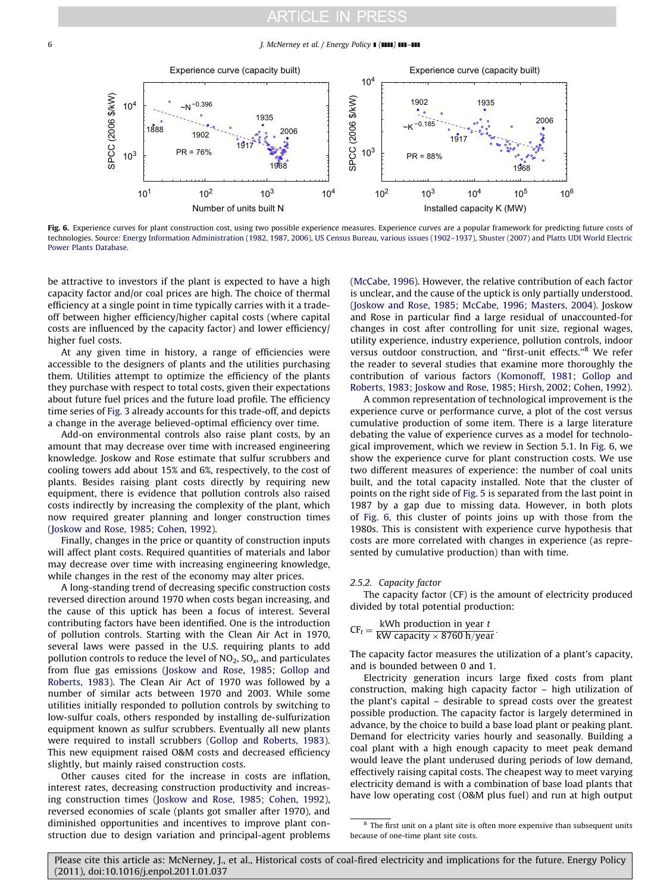6 J. McNerney et al. / Energy Policy **I** (IIII) **III–III** 



Fig. 6. Experience curves for plant construction cost, using two possible experience measures. Experience curves are a popular framework for predicting future costs of technologies. Source: [Energy Information Administration \(1982, 1987, 2006\), US Census Bureau, various issues \(1902–1937\),](#page-12-0) [Shuster \(2007\)](#page-12-0) and [Platts UDI World Electric](#page-12-0) [Power Plants Database.](#page-12-0)

be attractive to investors if the plant is expected to have a high capacity factor and/or coal prices are high. The choice of thermal efficiency at a single point in time typically carries with it a tradeoff between higher efficiency/higher capital costs (where capital costs are influenced by the capacity factor) and lower efficiency/ higher fuel costs.

At any given time in history, a range of efficiencies were accessible to the designers of plants and the utilities purchasing them. Utilities attempt to optimize the efficiency of the plants they purchase with respect to total costs, given their expectations about future fuel prices and the future load profile. The efficiency time series of [Fig. 3](#page-3-0) already accounts for this trade-off, and depicts a change in the average believed-optimal efficiency over time.

Add-on environmental controls also raise plant costs, by an amount that may decrease over time with increased engineering knowledge. Joskow and Rose estimate that sulfur scrubbers and cooling towers add about 15% and 6%, respectively, to the cost of plants. Besides raising plant costs directly by requiring new equipment, there is evidence that pollution controls also raised costs indirectly by increasing the complexity of the plant, which now required greater planning and longer construction times ([Joskow and Rose, 1985; Cohen, 1992](#page-12-0)).

Finally, changes in the price or quantity of construction inputs will affect plant costs. Required quantities of materials and labor may decrease over time with increasing engineering knowledge, while changes in the rest of the economy may alter prices.

A long-standing trend of decreasing specific construction costs reversed direction around 1970 when costs began increasing, and the cause of this uptick has been a focus of interest. Several contributing factors have been identified. One is the introduction of pollution controls. Starting with the Clean Air Act in 1970, several laws were passed in the U.S. requiring plants to add pollution controls to reduce the level of  $NO<sub>2</sub>$ ,  $SO<sub>x</sub>$ , and particulates from flue gas emissions [\(Joskow and Rose, 1985; Gollop and](#page-12-0) [Roberts, 1983](#page-12-0)). The Clean Air Act of 1970 was followed by a number of similar acts between 1970 and 2003. While some utilities initially responded to pollution controls by switching to low-sulfur coals, others responded by installing de-sulfurization equipment known as sulfur scrubbers. Eventually all new plants were required to install scrubbers ([Gollop and Roberts, 1983\)](#page-12-0). This new equipment raised O&M costs and decreased efficiency slightly, but mainly raised construction costs.

Other causes cited for the increase in costs are inflation, interest rates, decreasing construction productivity and increasing construction times [\(Joskow and Rose, 1985; Cohen, 1992\)](#page-12-0), reversed economies of scale (plants got smaller after 1970), and diminished opportunities and incentives to improve plant construction due to design variation and principal-agent problems ([McCabe, 1996](#page-12-0)). However, the relative contribution of each factor is unclear, and the cause of the uptick is only partially understood. ([Joskow and Rose, 1985; McCabe, 1996; Masters, 2004\)](#page-12-0). Joskow and Rose in particular find a large residual of unaccounted-for changes in cost after controlling for unit size, regional wages, utility experience, industry experience, pollution controls, indoor versus outdoor construction, and ''first-unit effects.''<sup>8</sup> We refer the reader to several studies that examine more thoroughly the contribution of various factors [\(Komonoff, 1981; Gollop and](#page-12-0) [Roberts, 1983; Joskow and Rose, 1985; Hirsh, 2002; Cohen, 1992\)](#page-12-0).

A common representation of technological improvement is the experience curve or performance curve, a plot of the cost versus cumulative production of some item. There is a large literature debating the value of experience curves as a model for technological improvement, which we review in Section 5.1. In Fig. 6, we show the experience curve for plant construction costs. We use two different measures of experience: the number of coal units built, and the total capacity installed. Note that the cluster of points on the right side of [Fig. 5](#page-4-0) is separated from the last point in 1987 by a gap due to missing data. However, in both plots of Fig. 6, this cluster of points joins up with those from the 1980s. This is consistent with experience curve hypothesis that costs are more correlated with changes in experience (as represented by cumulative production) than with time.

#### 2.5.2. Capacity factor

The capacity factor (CF) is the amount of electricity produced divided by total potential production:

$$
CF_t = \frac{\text{kWh production in year } t}{\text{kW capacity} \times 8760 \text{ h/year}}
$$

The capacity factor measures the utilization of a plant's capacity, and is bounded between 0 and 1.

Electricity generation incurs large fixed costs from plant construction, making high capacity factor – high utilization of the plant's capital – desirable to spread costs over the greatest possible production. The capacity factor is largely determined in advance, by the choice to build a base load plant or peaking plant. Demand for electricity varies hourly and seasonally. Building a coal plant with a high enough capacity to meet peak demand would leave the plant underused during periods of low demand, effectively raising capital costs. The cheapest way to meet varying electricity demand is with a combination of base load plants that have low operating cost (O&M plus fuel) and run at high output

 $^{\rm 8}$  The first unit on a plant site is often more expensive than subsequent units because of one-time plant site costs.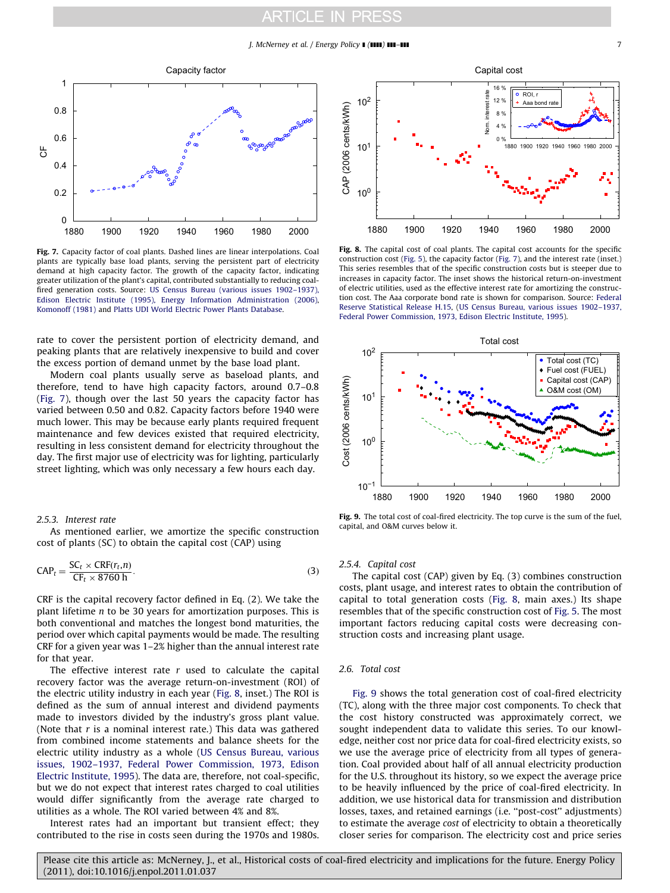<span id="page-6-0"></span>

Fig. 7. Capacity factor of coal plants. Dashed lines are linear interpolations. Coal plants are typically base load plants, serving the persistent part of electricity demand at high capacity factor. The growth of the capacity factor, indicating greater utilization of the plant's capital, contributed substantially to reducing coalfired generation costs. Source: [US Census Bureau \(various issues 1902–1937\),](#page-12-0) [Edison Electric Institute \(1995\), Energy Information Administration \(2006\)](#page-12-0), [Komonoff \(1981\)](#page-12-0) and [Platts UDI World Electric Power Plants Database](#page-12-0).

rate to cover the persistent portion of electricity demand, and peaking plants that are relatively inexpensive to build and cover the excess portion of demand unmet by the base load plant.

Modern coal plants usually serve as baseload plants, and therefore, tend to have high capacity factors, around 0.7–0.8 (Fig. 7), though over the last 50 years the capacity factor has varied between 0.50 and 0.82. Capacity factors before 1940 were much lower. This may be because early plants required frequent maintenance and few devices existed that required electricity, resulting in less consistent demand for electricity throughout the day. The first major use of electricity was for lighting, particularly street lighting, which was only necessary a few hours each day.

#### 2.5.3. Interest rate

As mentioned earlier, we amortize the specific construction cost of plants (SC) to obtain the capital cost (CAP) using

$$
CAP_t = \frac{SC_t \times CRF(r_t, n)}{CF_t \times 8760 \text{ h}}.
$$
\n(3)

CRF is the capital recovery factor defined in Eq. (2). We take the plant lifetime n to be 30 years for amortization purposes. This is both conventional and matches the longest bond maturities, the period over which capital payments would be made. The resulting CRF for a given year was 1–2% higher than the annual interest rate for that year.

The effective interest rate  $r$  used to calculate the capital recovery factor was the average return-on-investment (ROI) of the electric utility industry in each year (Fig. 8, inset.) The ROI is defined as the sum of annual interest and dividend payments made to investors divided by the industry's gross plant value. (Note that  $r$  is a nominal interest rate.) This data was gathered from combined income statements and balance sheets for the electric utility industry as a whole [\(US Census Bureau, various](#page-12-0) [issues, 1902–1937, Federal Power Commission, 1973, Edison](#page-12-0) [Electric Institute, 1995\)](#page-12-0). The data are, therefore, not coal-specific, but we do not expect that interest rates charged to coal utilities would differ significantly from the average rate charged to utilities as a whole. The ROI varied between 4% and 8%.

Interest rates had an important but transient effect; they contributed to the rise in costs seen during the 1970s and 1980s.



Fig. 8. The capital cost of coal plants. The capital cost accounts for the specific construction cost [\(Fig. 5\)](#page-4-0), the capacity factor (Fig. 7), and the interest rate (inset.) This series resembles that of the specific construction costs but is steeper due to increases in capacity factor. The inset shows the historical return-on-investment of electric utilities, used as the effective interest rate for amortizing the construction cost. The Aaa corporate bond rate is shown for comparison. Source: [Federal](#page-12-0) [Reserve Statistical Release H.15](#page-12-0), [\(US Census Bureau, various issues 1902–1937,](#page-12-0) [Federal Power Commission, 1973, Edison Electric Institute, 1995](#page-12-0)).



Fig. 9. The total cost of coal-fired electricity. The top curve is the sum of the fuel, capital, and O&M curves below it.

#### 2.5.4. Capital cost

The capital cost (CAP) given by Eq. (3) combines construction costs, plant usage, and interest rates to obtain the contribution of capital to total generation costs (Fig. 8, main axes.) Its shape resembles that of the specific construction cost of [Fig. 5](#page-4-0). The most important factors reducing capital costs were decreasing construction costs and increasing plant usage.

#### 2.6. Total cost

Fig. 9 shows the total generation cost of coal-fired electricity (TC), along with the three major cost components. To check that the cost history constructed was approximately correct, we sought independent data to validate this series. To our knowledge, neither cost nor price data for coal-fired electricity exists, so we use the average price of electricity from all types of generation. Coal provided about half of all annual electricity production for the U.S. throughout its history, so we expect the average price to be heavily influenced by the price of coal-fired electricity. In addition, we use historical data for transmission and distribution losses, taxes, and retained earnings (i.e. ''post-cost'' adjustments) to estimate the average cost of electricity to obtain a theoretically closer series for comparison. The electricity cost and price series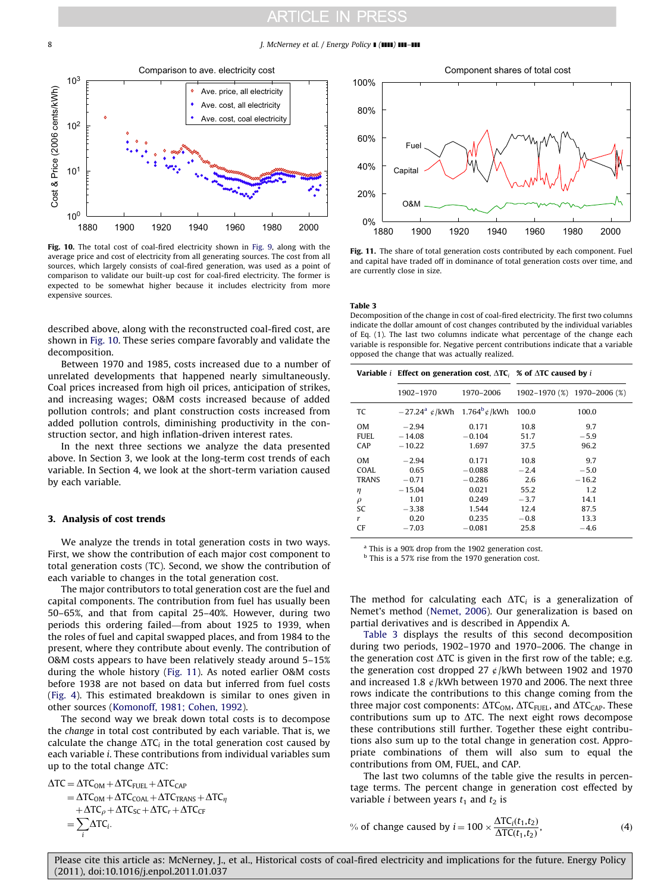<span id="page-7-0"></span>8 J. McNerney et al. / Energy Policy **I** (IIII) **III–III** 



Fig. 10. The total cost of coal-fired electricity shown in [Fig. 9,](#page-6-0) along with the average price and cost of electricity from all generating sources. The cost from all sources, which largely consists of coal-fired generation, was used as a point of comparison to validate our built-up cost for coal-fired electricity. The former is expected to be somewhat higher because it includes electricity from more expensive sources.

described above, along with the reconstructed coal-fired cost, are shown in Fig. 10. These series compare favorably and validate the decomposition.

Between 1970 and 1985, costs increased due to a number of unrelated developments that happened nearly simultaneously. Coal prices increased from high oil prices, anticipation of strikes, and increasing wages; O&M costs increased because of added pollution controls; and plant construction costs increased from added pollution controls, diminishing productivity in the construction sector, and high inflation-driven interest rates.

In the next three sections we analyze the data presented above. In Section 3, we look at the long-term cost trends of each variable. In Section 4, we look at the short-term variation caused by each variable.

#### 3. Analysis of cost trends

We analyze the trends in total generation costs in two ways. First, we show the contribution of each major cost component to total generation costs (TC). Second, we show the contribution of each variable to changes in the total generation cost.

The major contributors to total generation cost are the fuel and capital components. The contribution from fuel has usually been 50–65%, and that from capital 25–40%. However, during two periods this ordering failed—from about 1925 to 1939, when the roles of fuel and capital swapped places, and from 1984 to the present, where they contribute about evenly. The contribution of O&M costs appears to have been relatively steady around 5–15% during the whole history (Fig. 11). As noted earlier O&M costs before 1938 are not based on data but inferred from fuel costs ([Fig. 4\)](#page-4-0). This estimated breakdown is similar to ones given in other sources [\(Komonoff, 1981; Cohen, 1992\)](#page-12-0).

The second way we break down total costs is to decompose the change in total cost contributed by each variable. That is, we calculate the change  $\Delta T$ C<sub>i</sub> in the total generation cost caused by each variable i. These contributions from individual variables sum up to the total change  $\Delta \text{TC}$ :

 $\Delta TC = \Delta TC_{OM} + \Delta TC_{FUEL} + \Delta TC_{CAP}$  $=\Delta TC_{OM} + \Delta TC_{COAL} + \Delta TC_{TRANS} + \Delta TC_{\eta}$  $+\Delta \text{TC}_{\rho} + \Delta \text{TC}_{\text{SC}} + \Delta \text{TC}_{\text{r}} + \Delta \text{TC}_{\text{CF}}$  $=\overline{\sum}$  $\sum_i \Delta \text{TC}_i.$ 



Fig. 11. The share of total generation costs contributed by each component. Fuel and capital have traded off in dominance of total generation costs over time, and are currently close in size.

Table 3

Decomposition of the change in cost of coal-fired electricity. The first two columns indicate the dollar amount of cost changes contributed by the individual variables of Eq. (1). The last two columns indicate what percentage of the change each variable is responsible for. Negative percent contributions indicate that a variable opposed the change that was actually realized.

|              | Variable <i>i</i> Effect on generation cost, $\Delta TC_i$ % of $\Delta TC$ caused by <i>i</i> |           |        |                             |
|--------------|------------------------------------------------------------------------------------------------|-----------|--------|-----------------------------|
|              | 1902-1970                                                                                      | 1970-2006 |        | 1902-1970 (%) 1970-2006 (%) |
| TC           | $-27.24$ <sup>a</sup> ¢/kWh 1.764 <sup>b</sup> ¢/kWh                                           |           | 100.0  | 100.0                       |
| OМ           | $-2.94$                                                                                        | 0.171     | 10.8   | 9.7                         |
| FUEL         | $-14.08$                                                                                       | $-0.104$  | 51.7   | $-5.9$                      |
| CAP          | $-10.22$                                                                                       | 1.697     | 37.5   | 96.2                        |
| OМ           | $-2.94$                                                                                        | 0.171     | 10.8   | 9.7                         |
| COAL.        | 0.65                                                                                           | $-0.088$  | $-2.4$ | $-5.0$                      |
| <b>TRANS</b> | $-0.71$                                                                                        | $-0.286$  | 2.6    | $-16.2$                     |
| η            | $-15.04$                                                                                       | 0.021     | 55.2   | 1.2                         |
| $\rho$       | 1.01                                                                                           | 0.249     | $-3.7$ | 14.1                        |
| SC           | $-3.38$                                                                                        | 1.544     | 12.4   | 87.5                        |
| r            | 0.20                                                                                           | 0.235     | $-0.8$ | 13.3                        |
| CF           | $-7.03$                                                                                        | $-0.081$  | 25.8   | $-4.6$                      |

<sup>a</sup> This is a 90% drop from the 1902 generation cost.

<sup>b</sup> This is a 57% rise from the 1970 generation cost.

The method for calculating each  $\Delta TC_i$  is a generalization of Nemet's method ([Nemet, 2006\)](#page-12-0). Our generalization is based on partial derivatives and is described in Appendix A.

Table 3 displays the results of this second decomposition during two periods, 1902–1970 and 1970–2006. The change in the generation cost  $\Delta TC$  is given in the first row of the table; e.g. the generation cost dropped 27  $\rlap{/}$  /kWh between 1902 and 1970 and increased 1.8  $\phi$ /kWh between 1970 and 2006. The next three rows indicate the contributions to this change coming from the three major cost components:  $\Delta TC_{OM}$ ,  $\Delta TC_{FUEL}$ , and  $\Delta TC_{CAP}$ . These contributions sum up to  $\Delta T C$ . The next eight rows decompose these contributions still further. Together these eight contributions also sum up to the total change in generation cost. Appropriate combinations of them will also sum to equal the contributions from OM, FUEL, and CAP.

The last two columns of the table give the results in percentage terms. The percent change in generation cost effected by variable *i* between years  $t_1$  and  $t_2$  is

% of change caused by 
$$
i = 100 \times \frac{\Delta TC_i(t_1, t_2)}{\Delta TC(t_1, t_2)}
$$
, (4)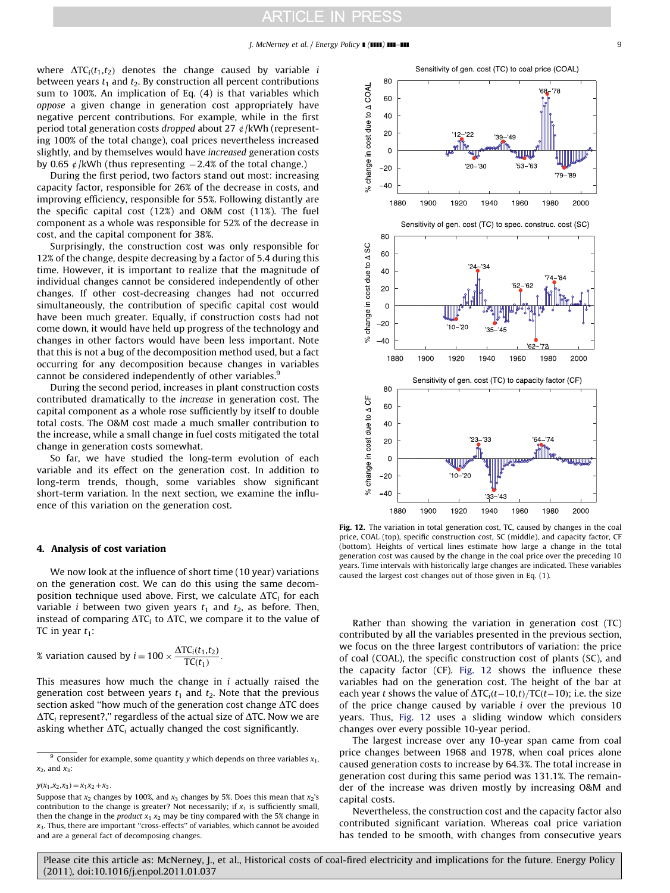<span id="page-8-0"></span>where  $\Delta TC_i(t_1,t_2)$  denotes the change caused by variable *i* between years  $t_1$  and  $t_2$ . By construction all percent contributions sum to 100%. An implication of Eq. (4) is that variables which oppose a given change in generation cost appropriately have negative percent contributions. For example, while in the first period total generation costs dropped about 27  $\phi$ /kWh (representing 100% of the total change), coal prices nevertheless increased slightly, and by themselves would have increased generation costs by 0.65  $\phi$ /kWh (thus representing  $-2.4\%$  of the total change.)

During the first period, two factors stand out most: increasing capacity factor, responsible for 26% of the decrease in costs, and improving efficiency, responsible for 55%. Following distantly are the specific capital cost (12%) and O&M cost (11%). The fuel component as a whole was responsible for 52% of the decrease in cost, and the capital component for 38%.

Surprisingly, the construction cost was only responsible for 12% of the change, despite decreasing by a factor of 5.4 during this time. However, it is important to realize that the magnitude of individual changes cannot be considered independently of other changes. If other cost-decreasing changes had not occurred simultaneously, the contribution of specific capital cost would have been much greater. Equally, if construction costs had not come down, it would have held up progress of the technology and changes in other factors would have been less important. Note that this is not a bug of the decomposition method used, but a fact occurring for any decomposition because changes in variables cannot be considered independently of other variables.<sup>9</sup>

During the second period, increases in plant construction costs contributed dramatically to the increase in generation cost. The capital component as a whole rose sufficiently by itself to double total costs. The O&M cost made a much smaller contribution to the increase, while a small change in fuel costs mitigated the total change in generation costs somewhat.

So far, we have studied the long-term evolution of each variable and its effect on the generation cost. In addition to long-term trends, though, some variables show significant short-term variation. In the next section, we examine the influence of this variation on the generation cost.

#### 4. Analysis of cost variation

We now look at the influence of short time (10 year) variations on the generation cost. We can do this using the same decomposition technique used above. First, we calculate  $\Delta TC_i$  for each variable *i* between two given years  $t_1$  and  $t_2$ , as before. Then, instead of comparing  $\Delta TC_i$  to  $\Delta TC$ , we compare it to the value of TC in year  $t_1$ :

% variation caused by 
$$
i = 100 \times \frac{\Delta TC_i(t_1, t_2)}{TC(t_1)}
$$
.

This measures how much the change in  $i$  actually raised the generation cost between years  $t_1$  and  $t_2$ . Note that the previous section asked "how much of the generation cost change  $\Delta TC$  does  $\Delta TC_i$  represent?," regardless of the actual size of  $\Delta TC$ . Now we are asking whether  $\Delta TC_i$  actually changed the cost significantly.

 $y(x_1,x_2,x_3) = x_1x_2 + x_3.$ 



Fig. 12. The variation in total generation cost, TC, caused by changes in the coal price, COAL (top), specific construction cost, SC (middle), and capacity factor, CF (bottom). Heights of vertical lines estimate how large a change in the total generation cost was caused by the change in the coal price over the preceding 10 years. Time intervals with historically large changes are indicated. These variables caused the largest cost changes out of those given in Eq. (1).

Rather than showing the variation in generation cost (TC) contributed by all the variables presented in the previous section, we focus on the three largest contributors of variation: the price of coal (COAL), the specific construction cost of plants (SC), and the capacity factor (CF). Fig. 12 shows the influence these variables had on the generation cost. The height of the bar at each year t shows the value of  $\Delta TC_i(t-10,t)/TC(t-10)$ ; i.e. the size of the price change caused by variable  $i$  over the previous 10 years. Thus, Fig. 12 uses a sliding window which considers changes over every possible 10-year period.

The largest increase over any 10-year span came from coal price changes between 1968 and 1978, when coal prices alone caused generation costs to increase by 64.3%. The total increase in generation cost during this same period was 131.1%. The remainder of the increase was driven mostly by increasing O&M and capital costs.

Nevertheless, the construction cost and the capacity factor also contributed significant variation. Whereas coal price variation has tended to be smooth, with changes from consecutive years

<sup>&</sup>lt;sup>9</sup> Consider for example, some quantity y which depends on three variables  $x_1$ ,  $x_2$ , and  $x_3$ :

Suppose that  $x_2$  changes by 100%, and  $x_3$  changes by 5%. Does this mean that  $x_2$ 's contribution to the change is greater? Not necessarily; if  $x_1$  is sufficiently small, then the change in the *product*  $x_1 x_2$  may be tiny compared with the 5% change in  $x_3$ . Thus, there are important "cross-effects" of variables, which cannot be avoided and are a general fact of decomposing changes.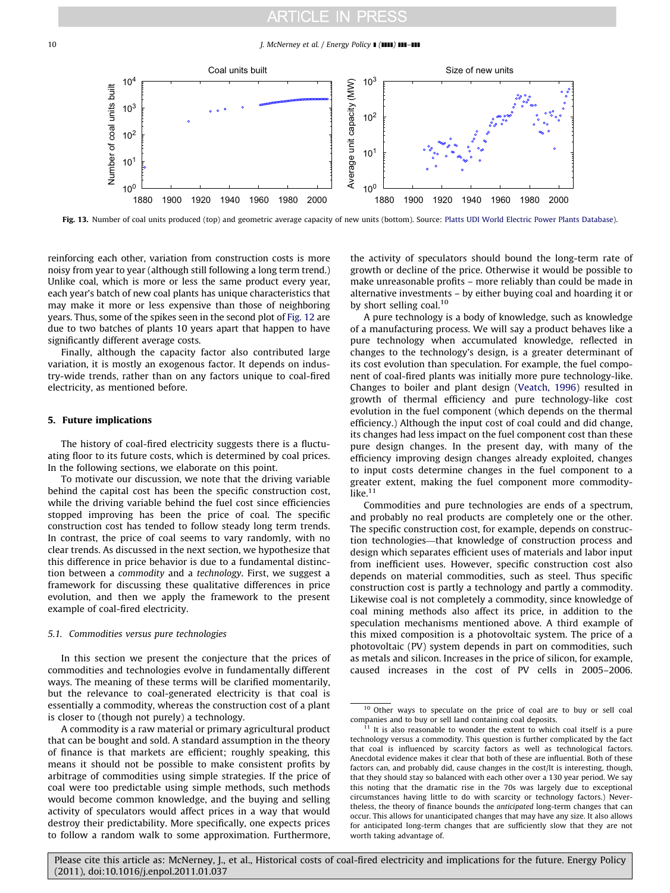#### <span id="page-9-0"></span>10 J. McNerney et al. / Energy Policy 1 (1111) 111-111



Fig. 13. Number of coal units produced (top) and geometric average capacity of new units (bottom). Source: [Platts UDI World Electric Power Plants Database](#page-12-0)).

reinforcing each other, variation from construction costs is more noisy from year to year (although still following a long term trend.) Unlike coal, which is more or less the same product every year, each year's batch of new coal plants has unique characteristics that may make it more or less expensive than those of neighboring years. Thus, some of the spikes seen in the second plot of [Fig. 12](#page-8-0) are due to two batches of plants 10 years apart that happen to have significantly different average costs.

Finally, although the capacity factor also contributed large variation, it is mostly an exogenous factor. It depends on industry-wide trends, rather than on any factors unique to coal-fired electricity, as mentioned before.

#### 5. Future implications

The history of coal-fired electricity suggests there is a fluctuating floor to its future costs, which is determined by coal prices. In the following sections, we elaborate on this point.

To motivate our discussion, we note that the driving variable behind the capital cost has been the specific construction cost, while the driving variable behind the fuel cost since efficiencies stopped improving has been the price of coal. The specific construction cost has tended to follow steady long term trends. In contrast, the price of coal seems to vary randomly, with no clear trends. As discussed in the next section, we hypothesize that this difference in price behavior is due to a fundamental distinction between a commodity and a technology. First, we suggest a framework for discussing these qualitative differences in price evolution, and then we apply the framework to the present example of coal-fired electricity.

#### 5.1. Commodities versus pure technologies

In this section we present the conjecture that the prices of commodities and technologies evolve in fundamentally different ways. The meaning of these terms will be clarified momentarily, but the relevance to coal-generated electricity is that coal is essentially a commodity, whereas the construction cost of a plant is closer to (though not purely) a technology.

the activity of speculators should bound the long-term rate of growth or decline of the price. Otherwise it would be possible to make unreasonable profits – more reliably than could be made in alternative investments – by either buying coal and hoarding it or by short selling coal.<sup>10</sup>

A pure technology is a body of knowledge, such as knowledge of a manufacturing process. We will say a product behaves like a pure technology when accumulated knowledge, reflected in changes to the technology's design, is a greater determinant of its cost evolution than speculation. For example, the fuel component of coal-fired plants was initially more pure technology-like. Changes to boiler and plant design ([Veatch, 1996](#page-12-0)) resulted in growth of thermal efficiency and pure technology-like cost evolution in the fuel component (which depends on the thermal efficiency.) Although the input cost of coal could and did change, its changes had less impact on the fuel component cost than these pure design changes. In the present day, with many of the efficiency improving design changes already exploited, changes to input costs determine changes in the fuel component to a greater extent, making the fuel component more commoditylike. $11$ 

Commodities and pure technologies are ends of a spectrum, and probably no real products are completely one or the other. The specific construction cost, for example, depends on construction technologies—that knowledge of construction process and design which separates efficient uses of materials and labor input from inefficient uses. However, specific construction cost also depends on material commodities, such as steel. Thus specific construction cost is partly a technology and partly a commodity. Likewise coal is not completely a commodity, since knowledge of coal mining methods also affect its price, in addition to the speculation mechanisms mentioned above. A third example of this mixed composition is a photovoltaic system. The price of a photovoltaic (PV) system depends in part on commodities, such as metals and silicon. Increases in the price of silicon, for example, caused increases in the cost of PV cells in 2005–2006.

A commodity is a raw material or primary agricultural product that can be bought and sold. A standard assumption in the theory of finance is that markets are efficient; roughly speaking, this means it should not be possible to make consistent profits by arbitrage of commodities using simple strategies. If the price of coal were too predictable using simple methods, such methods would become common knowledge, and the buying and selling activity of speculators would affect prices in a way that would destroy their predictability. More specifically, one expects prices to follow a random walk to some approximation. Furthermore,

<sup>10</sup> Other ways to speculate on the price of coal are to buy or sell coal companies and to buy or sell land containing coal deposits.

 $11$  It is also reasonable to wonder the extent to which coal itself is a pure technology versus a commodity. This question is further complicated by the fact that coal is influenced by scarcity factors as well as technological factors. Anecdotal evidence makes it clear that both of these are influential. Both of these factors can, and probably did, cause changes in the cost/It is interesting, though, that they should stay so balanced with each other over a 130 year period. We say this noting that the dramatic rise in the 70s was largely due to exceptional circumstances having little to do with scarcity or technology factors.) Nevertheless, the theory of finance bounds the anticipated long-term changes that can occur. This allows for unanticipated changes that may have any size. It also allows for anticipated long-term changes that are sufficiently slow that they are not worth taking advantage of.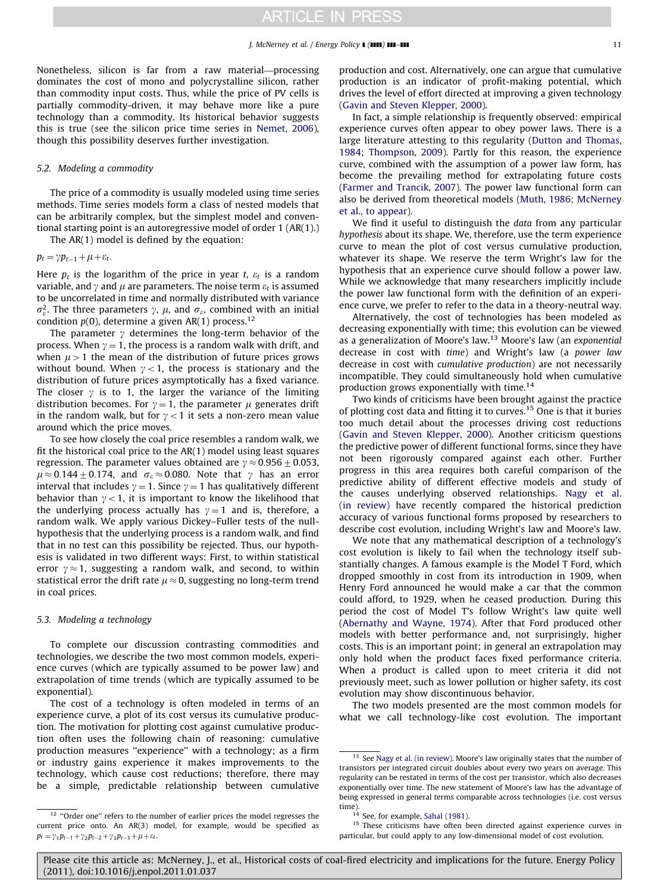Nonetheless, silicon is far from a raw material—processing dominates the cost of mono and polycrystalline silicon, rather than commodity input costs. Thus, while the price of PV cells is partially commodity-driven, it may behave more like a pure technology than a commodity. Its historical behavior suggests this is true (see the silicon price time series in [Nemet, 2006\)](#page-12-0), though this possibility deserves further investigation.

#### 5.2. Modeling a commodity

The price of a commodity is usually modeled using time series methods. Time series models form a class of nested models that can be arbitrarily complex, but the simplest model and conventional starting point is an autoregressive model of order 1 (AR(1).)

The AR(1) model is defined by the equation:

 $p_t = \gamma p_{t-1} + \mu + \varepsilon_t.$ 

Here  $p_t$  is the logarithm of the price in year t,  $\varepsilon_t$  is a random variable, and  $\gamma$  and  $\mu$  are parameters. The noise term  $\varepsilon_t$  is assumed to be uncorrelated in time and normally distributed with variance  $\sigma_{\varepsilon}^2$ . The three parameters  $\gamma$ ,  $\mu$ , and  $\sigma_{\varepsilon}$ , combined with an initial condition  $p(0)$ , determine a given AR(1) process.<sup>12</sup>

The parameter  $\gamma$  determines the long-term behavior of the process. When  $y = 1$ , the process is a random walk with drift, and when  $\mu > 1$  the mean of the distribution of future prices grows without bound. When  $\gamma$  < 1, the process is stationary and the distribution of future prices asymptotically has a fixed variance. The closer  $\gamma$  is to 1, the larger the variance of the limiting distribution becomes. For  $\gamma = 1$ , the parameter  $\mu$  generates drift in the random walk, but for  $\gamma$  < 1 it sets a non-zero mean value around which the price moves.

To see how closely the coal price resembles a random walk, we fit the historical coal price to the AR(1) model using least squares regression. The parameter values obtained are  $\gamma \approx 0.956\pm0.053$ ,  $\mu \approx 0.144 \pm 0.174$ , and  $\sigma_{\varepsilon} \approx 0.080$ . Note that  $\gamma$  has an error interval that includes  $\gamma = 1$ . Since  $\gamma = 1$  has qualitatively different behavior than  $\gamma$  < 1, it is important to know the likelihood that the underlying process actually has  $\gamma = 1$  and is, therefore, a random walk. We apply various Dickey–Fuller tests of the nullhypothesis that the underlying process is a random walk, and find that in no test can this possibility be rejected. Thus, our hypothesis is validated in two different ways: First, to within statistical error  $y \approx 1$ , suggesting a random walk, and second, to within statistical error the drift rate  $\mu \approx 0$ , suggesting no long-term trend in coal prices.

#### 5.3. Modeling a technology

To complete our discussion contrasting commodities and technologies, we describe the two most common models, experience curves (which are typically assumed to be power law) and extrapolation of time trends (which are typically assumed to be exponential).

The cost of a technology is often modeled in terms of an experience curve, a plot of its cost versus its cumulative production. The motivation for plotting cost against cumulative production often uses the following chain of reasoning: cumulative production measures "experience" with a technology; as a firm or industry gains experience it makes improvements to the technology, which cause cost reductions; therefore, there may be a simple, predictable relationship between cumulative production and cost. Alternatively, one can argue that cumulative production is an indicator of profit-making potential, which drives the level of effort directed at improving a given technology ([Gavin and Steven Klepper, 2000](#page-12-0)).

In fact, a simple relationship is frequently observed: empirical experience curves often appear to obey power laws. There is a large literature attesting to this regularity [\(Dutton and Thomas,](#page-12-0) [1984; Thompson, 2009\)](#page-12-0). Partly for this reason, the experience curve, combined with the assumption of a power law form, has become the prevailing method for extrapolating future costs ([Farmer and Trancik, 2007](#page-12-0)). The power law functional form can also be derived from theoretical models ([Muth, 1986; McNerney](#page-12-0) [et al., to appear](#page-12-0)).

We find it useful to distinguish the *data* from any particular hypothesis about its shape. We, therefore, use the term experience curve to mean the plot of cost versus cumulative production, whatever its shape. We reserve the term Wright's law for the hypothesis that an experience curve should follow a power law. While we acknowledge that many researchers implicitly include the power law functional form with the definition of an experience curve, we prefer to refer to the data in a theory-neutral way.

Alternatively, the cost of technologies has been modeled as decreasing exponentially with time; this evolution can be viewed as a generalization of Moore's law. $13$  Moore's law (an exponential decrease in cost with time) and Wright's law (a power law decrease in cost with cumulative production) are not necessarily incompatible. They could simultaneously hold when cumulative production grows exponentially with time.<sup>14</sup>

Two kinds of criticisms have been brought against the practice of plotting cost data and fitting it to curves.<sup>15</sup> One is that it buries too much detail about the processes driving cost reductions ([Gavin and Steven Klepper, 2000](#page-12-0)). Another criticism questions the predictive power of different functional forms, since they have not been rigorously compared against each other. Further progress in this area requires both careful comparison of the predictive ability of different effective models and study of the causes underlying observed relationships. [Nagy et al.](#page-12-0) [\(in review\)](#page-12-0) have recently compared the historical prediction accuracy of various functional forms proposed by researchers to describe cost evolution, including Wright's law and Moore's law.

We note that any mathematical description of a technology's cost evolution is likely to fail when the technology itself substantially changes. A famous example is the Model T Ford, which dropped smoothly in cost from its introduction in 1909, when Henry Ford announced he would make a car that the common could afford, to 1929, when he ceased production. During this period the cost of Model T's follow Wright's law quite well ([Abernathy and Wayne, 1974](#page-12-0)). After that Ford produced other models with better performance and, not surprisingly, higher costs. This is an important point; in general an extrapolation may only hold when the product faces fixed performance criteria. When a product is called upon to meet criteria it did not previously meet, such as lower pollution or higher safety, its cost evolution may show discontinuous behavior.

The two models presented are the most common models for what we call technology-like cost evolution. The important

<sup>&</sup>lt;sup>12</sup> "Order one" refers to the number of earlier prices the model regresses the current price onto. An AR(3) model, for example, would be specified as  $p_t = \gamma_1 p_{t-1} + \gamma_2 p_{t-2} + \gamma_3 p_{t-3} + \mu + \varepsilon_t.$ 

<sup>&</sup>lt;sup>13</sup> See [Nagy et al. \(in review\)](#page-12-0). Moore's law originally states that the number of transistors per integrated circuit doubles about every two years on average. This regularity can be restated in terms of the cost per transistor, which also decreases exponentially over time. The new statement of Moore's law has the advantage of being expressed in general terms comparable across technologies (i.e. cost versus time).<br> $\frac{14}{14}$ 

See, for example, [Sahal \(1981\)](#page-12-0).

<sup>&</sup>lt;sup>15</sup> These criticisms have often been directed against experience curves in particular, but could apply to any low-dimensional model of cost evolution.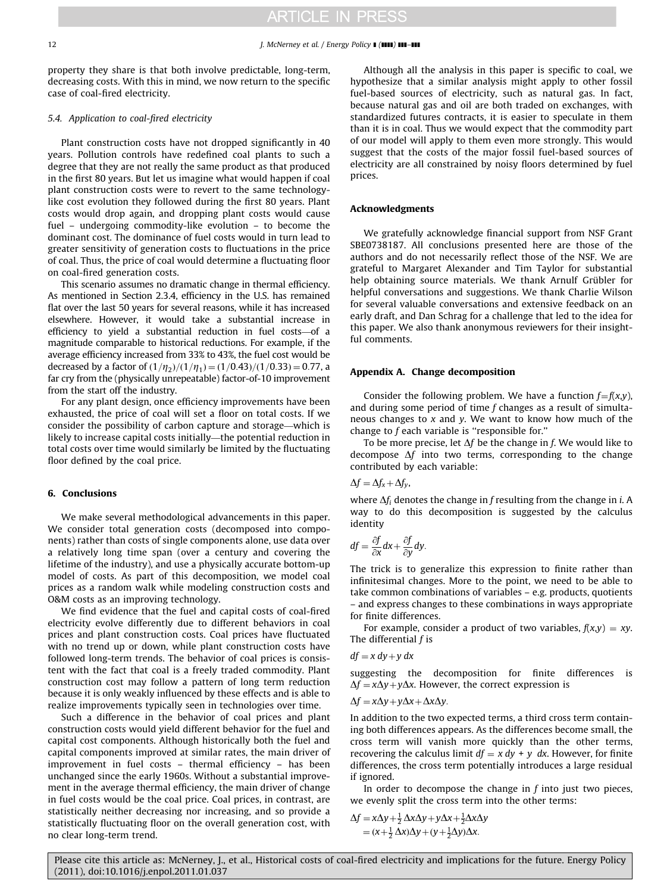property they share is that both involve predictable, long-term, decreasing costs. With this in mind, we now return to the specific case of coal-fired electricity.

#### 5.4. Application to coal-fired electricity

Plant construction costs have not dropped significantly in 40 years. Pollution controls have redefined coal plants to such a degree that they are not really the same product as that produced in the first 80 years. But let us imagine what would happen if coal plant construction costs were to revert to the same technologylike cost evolution they followed during the first 80 years. Plant costs would drop again, and dropping plant costs would cause fuel – undergoing commodity-like evolution – to become the dominant cost. The dominance of fuel costs would in turn lead to greater sensitivity of generation costs to fluctuations in the price of coal. Thus, the price of coal would determine a fluctuating floor on coal-fired generation costs.

This scenario assumes no dramatic change in thermal efficiency. As mentioned in Section 2.3.4, efficiency in the U.S. has remained flat over the last 50 years for several reasons, while it has increased elsewhere. However, it would take a substantial increase in efficiency to yield a substantial reduction in fuel costs—of a magnitude comparable to historical reductions. For example, if the average efficiency increased from 33% to 43%, the fuel cost would be decreased by a factor of  $\frac{1}{\eta_2}$  $\frac{1}{1\eta_1}$  =  $\frac{1}{0.43}$  $\frac{1}{10.33}$  = 0.77, a far cry from the (physically unrepeatable) factor-of-10 improvement from the start off the industry.

For any plant design, once efficiency improvements have been exhausted, the price of coal will set a floor on total costs. If we consider the possibility of carbon capture and storage—which is likely to increase capital costs initially—the potential reduction in total costs over time would similarly be limited by the fluctuating floor defined by the coal price.

#### 6. Conclusions

We make several methodological advancements in this paper. We consider total generation costs (decomposed into components) rather than costs of single components alone, use data over a relatively long time span (over a century and covering the lifetime of the industry), and use a physically accurate bottom-up model of costs. As part of this decomposition, we model coal prices as a random walk while modeling construction costs and O&M costs as an improving technology.

We find evidence that the fuel and capital costs of coal-fired electricity evolve differently due to different behaviors in coal prices and plant construction costs. Coal prices have fluctuated with no trend up or down, while plant construction costs have followed long-term trends. The behavior of coal prices is consistent with the fact that coal is a freely traded commodity. Plant construction cost may follow a pattern of long term reduction because it is only weakly influenced by these effects and is able to realize improvements typically seen in technologies over time.

Such a difference in the behavior of coal prices and plant construction costs would yield different behavior for the fuel and capital cost components. Although historically both the fuel and capital components improved at similar rates, the main driver of improvement in fuel costs – thermal efficiency – has been unchanged since the early 1960s. Without a substantial improvement in the average thermal efficiency, the main driver of change in fuel costs would be the coal price. Coal prices, in contrast, are statistically neither decreasing nor increasing, and so provide a statistically fluctuating floor on the overall generation cost, with no clear long-term trend.

Although all the analysis in this paper is specific to coal, we hypothesize that a similar analysis might apply to other fossil fuel-based sources of electricity, such as natural gas. In fact, because natural gas and oil are both traded on exchanges, with standardized futures contracts, it is easier to speculate in them than it is in coal. Thus we would expect that the commodity part of our model will apply to them even more strongly. This would suggest that the costs of the major fossil fuel-based sources of electricity are all constrained by noisy floors determined by fuel prices.

#### Acknowledgments

We gratefully acknowledge financial support from NSF Grant SBE0738187. All conclusions presented here are those of the authors and do not necessarily reflect those of the NSF. We are grateful to Margaret Alexander and Tim Taylor for substantial help obtaining source materials. We thank Arnulf Grübler for helpful conversations and suggestions. We thank Charlie Wilson for several valuable conversations and extensive feedback on an early draft, and Dan Schrag for a challenge that led to the idea for this paper. We also thank anonymous reviewers for their insightful comments.

#### Appendix A. Change decomposition

Consider the following problem. We have a function  $f=f(x,y)$ , and during some period of time f changes as a result of simultaneous changes to  $x$  and  $y$ . We want to know how much of the change to  $f$  each variable is "responsible for."

To be more precise, let  $\Delta f$  be the change in f. We would like to decompose  $\Delta f$  into two terms, corresponding to the change contributed by each variable:

$$
\Delta f = \Delta f_x + \Delta f_y,
$$

where  $\Delta f_i$  denotes the change in f resulting from the change in i. A way to do this decomposition is suggested by the calculus identity

$$
df = \frac{\partial f}{\partial x} dx + \frac{\partial f}{\partial y} dy.
$$

The trick is to generalize this expression to finite rather than infinitesimal changes. More to the point, we need to be able to take common combinations of variables – e.g. products, quotients – and express changes to these combinations in ways appropriate for finite differences.

For example, consider a product of two variables,  $f(x,y) = xy$ . The differential  $f$  is

$$
df = x\,dy + y\,dx
$$

suggesting the decomposition for finite differences is  $\Delta f = x\Delta y + y\Delta x$ . However, the correct expression is

$$
\Delta f = x\Delta y + y\Delta x + \Delta x \Delta y.
$$

In addition to the two expected terms, a third cross term containing both differences appears. As the differences become small, the cross term will vanish more quickly than the other terms, recovering the calculus limit  $df = x dy + y dx$ . However, for finite differences, the cross term potentially introduces a large residual if ignored.

In order to decompose the change in  $f$  into just two pieces, we evenly split the cross term into the other terms:

$$
\Delta f = x\Delta y + \frac{1}{2}\Delta x\Delta y + y\Delta x + \frac{1}{2}\Delta x\Delta y
$$
  
=  $(x + \frac{1}{2}\Delta x)\Delta y + (y + \frac{1}{2}\Delta y)\Delta x$ .